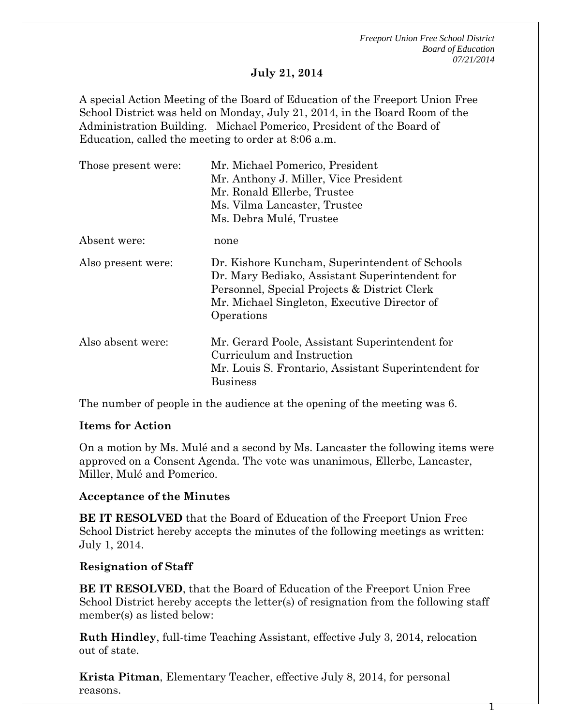*Freeport Union Free School District Board of Education 07/21/2014*

1

#### **July 21, 2014**

A special Action Meeting of the Board of Education of the Freeport Union Free School District was held on Monday, July 21, 2014, in the Board Room of the Administration Building. Michael Pomerico, President of the Board of Education, called the meeting to order at 8:06 a.m.

| Those present were: | Mr. Michael Pomerico, President<br>Mr. Anthony J. Miller, Vice President<br>Mr. Ronald Ellerbe, Trustee<br>Ms. Vilma Lancaster, Trustee<br>Ms. Debra Mulé, Trustee                                             |
|---------------------|----------------------------------------------------------------------------------------------------------------------------------------------------------------------------------------------------------------|
| Absent were:        | none                                                                                                                                                                                                           |
| Also present were:  | Dr. Kishore Kuncham, Superintendent of Schools<br>Dr. Mary Bediako, Assistant Superintendent for<br>Personnel, Special Projects & District Clerk<br>Mr. Michael Singleton, Executive Director of<br>Operations |
| Also absent were:   | Mr. Gerard Poole, Assistant Superintendent for<br>Curriculum and Instruction<br>Mr. Louis S. Frontario, Assistant Superintendent for<br><b>Business</b>                                                        |

The number of people in the audience at the opening of the meeting was 6.

### **Items for Action**

On a motion by Ms. Mulé and a second by Ms. Lancaster the following items were approved on a Consent Agenda. The vote was unanimous, Ellerbe, Lancaster, Miller, Mulé and Pomerico.

### **Acceptance of the Minutes**

**BE IT RESOLVED** that the Board of Education of the Freeport Union Free School District hereby accepts the minutes of the following meetings as written: July 1, 2014.

### **Resignation of Staff**

**BE IT RESOLVED**, that the Board of Education of the Freeport Union Free School District hereby accepts the letter(s) of resignation from the following staff member(s) as listed below:

**Ruth Hindley**, full-time Teaching Assistant, effective July 3, 2014, relocation out of state.

**Krista Pitman**, Elementary Teacher, effective July 8, 2014, for personal reasons.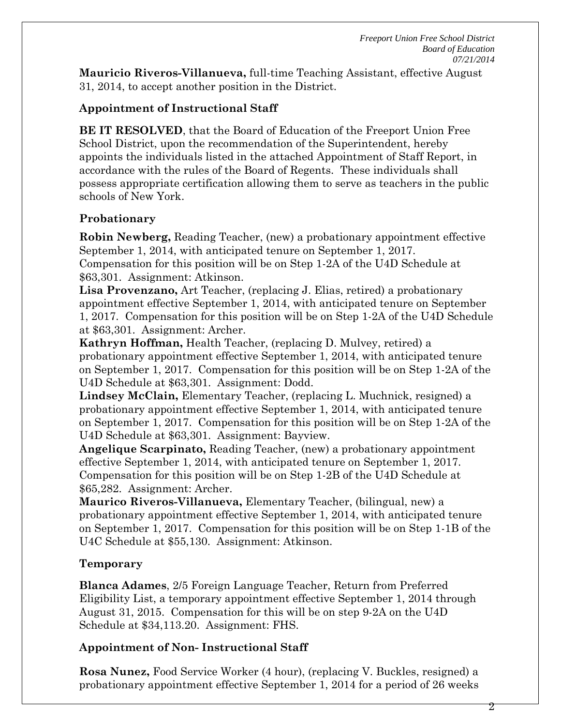**Mauricio Riveros-Villanueva,** full-time Teaching Assistant, effective August 31, 2014, to accept another position in the District.

# **Appointment of Instructional Staff**

**BE IT RESOLVED**, that the Board of Education of the Freeport Union Free School District, upon the recommendation of the Superintendent, hereby appoints the individuals listed in the attached Appointment of Staff Report, in accordance with the rules of the Board of Regents. These individuals shall possess appropriate certification allowing them to serve as teachers in the public schools of New York.

# **Probationary**

**Robin Newberg,** Reading Teacher, (new) a probationary appointment effective September 1, 2014, with anticipated tenure on September 1, 2017. Compensation for this position will be on Step 1-2A of the U4D Schedule at \$63,301. Assignment: Atkinson.

**Lisa Provenzano,** Art Teacher, (replacing J. Elias, retired) a probationary appointment effective September 1, 2014, with anticipated tenure on September 1, 2017. Compensation for this position will be on Step 1-2A of the U4D Schedule at \$63,301. Assignment: Archer.

**Kathryn Hoffman,** Health Teacher, (replacing D. Mulvey, retired) a probationary appointment effective September 1, 2014, with anticipated tenure on September 1, 2017. Compensation for this position will be on Step 1-2A of the U4D Schedule at \$63,301. Assignment: Dodd.

**Lindsey McClain,** Elementary Teacher, (replacing L. Muchnick, resigned) a probationary appointment effective September 1, 2014, with anticipated tenure on September 1, 2017. Compensation for this position will be on Step 1-2A of the U4D Schedule at \$63,301. Assignment: Bayview.

**Angelique Scarpinato,** Reading Teacher, (new) a probationary appointment effective September 1, 2014, with anticipated tenure on September 1, 2017. Compensation for this position will be on Step 1-2B of the U4D Schedule at \$65,282. Assignment: Archer.

**Maurico Riveros-Villanueva,** Elementary Teacher, (bilingual, new) a probationary appointment effective September 1, 2014, with anticipated tenure on September 1, 2017. Compensation for this position will be on Step 1-1B of the U4C Schedule at \$55,130. Assignment: Atkinson.

## **Temporary**

**Blanca Adames**, 2/5 Foreign Language Teacher, Return from Preferred Eligibility List, a temporary appointment effective September 1, 2014 through August 31, 2015. Compensation for this will be on step 9-2A on the U4D Schedule at \$34,113.20. Assignment: FHS.

# **Appointment of Non- Instructional Staff**

**Rosa Nunez,** Food Service Worker (4 hour), (replacing V. Buckles, resigned) a probationary appointment effective September 1, 2014 for a period of 26 weeks

2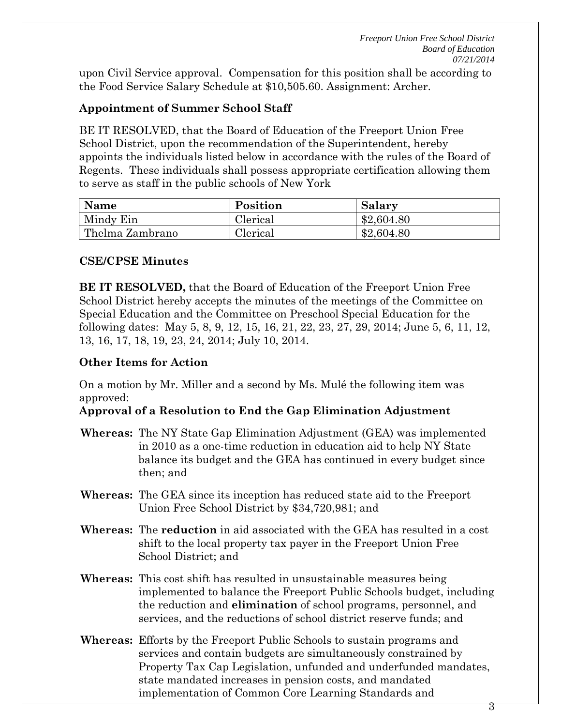upon Civil Service approval. Compensation for this position shall be according to the Food Service Salary Schedule at \$10,505.60. Assignment: Archer.

## **Appointment of Summer School Staff**

BE IT RESOLVED, that the Board of Education of the Freeport Union Free School District, upon the recommendation of the Superintendent, hereby appoints the individuals listed below in accordance with the rules of the Board of Regents. These individuals shall possess appropriate certification allowing them to serve as staff in the public schools of New York

| Name            | Position | Salary     |
|-----------------|----------|------------|
| Mindy Ein       | Clerical | \$2,604.80 |
| Thelma Zambrano | Clerical | \$2,604.80 |

### **CSE/CPSE Minutes**

**BE IT RESOLVED,** that the Board of Education of the Freeport Union Free School District hereby accepts the minutes of the meetings of the Committee on Special Education and the Committee on Preschool Special Education for the following dates: May 5, 8, 9, 12, 15, 16, 21, 22, 23, 27, 29, 2014; June 5, 6, 11, 12, 13, 16, 17, 18, 19, 23, 24, 2014; July 10, 2014.

## **Other Items for Action**

On a motion by Mr. Miller and a second by Ms. Mulé the following item was approved:

## **Approval of a Resolution to End the Gap Elimination Adjustment**

- **Whereas:** The NY State Gap Elimination Adjustment (GEA) was implemented in 2010 as a one-time reduction in education aid to help NY State balance its budget and the GEA has continued in every budget since then; and
- **Whereas:** The GEA since its inception has reduced state aid to the Freeport Union Free School District by \$34,720,981; and
- **Whereas:** The **reduction** in aid associated with the GEA has resulted in a cost shift to the local property tax payer in the Freeport Union Free School District; and
- **Whereas:** This cost shift has resulted in unsustainable measures being implemented to balance the Freeport Public Schools budget, including the reduction and **elimination** of school programs, personnel, and services, and the reductions of school district reserve funds; and
- **Whereas:** Efforts by the Freeport Public Schools to sustain programs and services and contain budgets are simultaneously constrained by Property Tax Cap Legislation, unfunded and underfunded mandates, state mandated increases in pension costs, and mandated implementation of Common Core Learning Standards and

3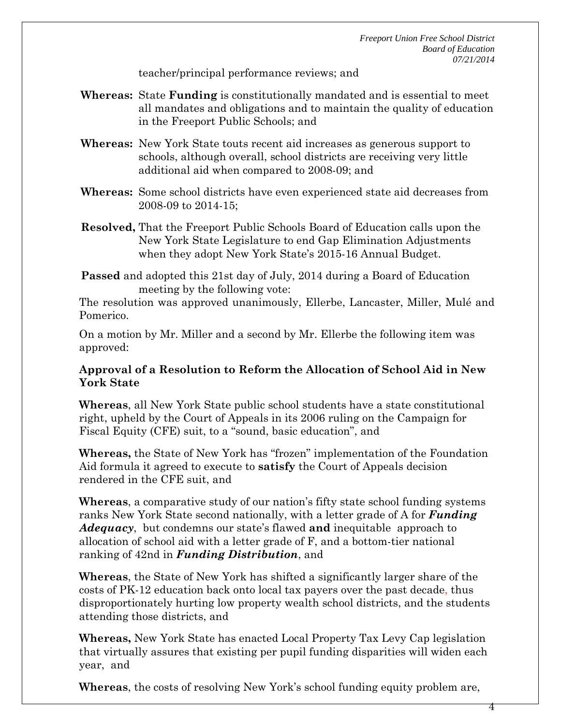4

teacher/principal performance reviews; and

- **Whereas:** State **Funding** is constitutionally mandated and is essential to meet all mandates and obligations and to maintain the quality of education in the Freeport Public Schools; and
- **Whereas:** New York State touts recent aid increases as generous support to schools, although overall, school districts are receiving very little additional aid when compared to 2008-09; and
- **Whereas:** Some school districts have even experienced state aid decreases from 2008-09 to 2014-15;
- **Resolved,** That the Freeport Public Schools Board of Education calls upon the New York State Legislature to end Gap Elimination Adjustments when they adopt New York State's 2015-16 Annual Budget.
- **Passed** and adopted this 21st day of July, 2014 during a Board of Education meeting by the following vote:

The resolution was approved unanimously, Ellerbe, Lancaster, Miller, Mulé and Pomerico.

On a motion by Mr. Miller and a second by Mr. Ellerbe the following item was approved:

### **Approval of a Resolution to Reform the Allocation of School Aid in New York State**

**Whereas**, all New York State public school students have a state constitutional right, upheld by the Court of Appeals in its 2006 ruling on the Campaign for Fiscal Equity (CFE) suit, to a "sound, basic education", and

**Whereas,** the State of New York has "frozen" implementation of the Foundation Aid formula it agreed to execute to **satisfy** the Court of Appeals decision rendered in the CFE suit, and

**Whereas**, a comparative study of our nation's fifty state school funding systems ranks New York State second nationally, with a letter grade of A for *Funding Adequacy*, but condemns our state's flawed **and** inequitable approach to allocation of school aid with a letter grade of F, and a bottom-tier national ranking of 42nd in *Funding Distribution*, and

**Whereas**, the State of New York has shifted a significantly larger share of the costs of PK-12 education back onto local tax payers over the past decade, thus disproportionately hurting low property wealth school districts, and the students attending those districts, and

**Whereas,** New York State has enacted Local Property Tax Levy Cap legislation that virtually assures that existing per pupil funding disparities will widen each year, and

**Whereas**, the costs of resolving New York's school funding equity problem are,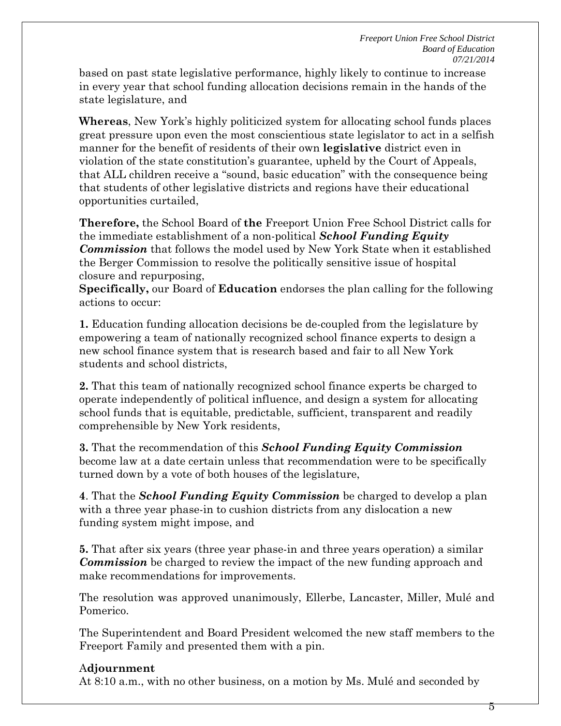based on past state legislative performance, highly likely to continue to increase in every year that school funding allocation decisions remain in the hands of the state legislature, and

**Whereas**, New York's highly politicized system for allocating school funds places great pressure upon even the most conscientious state legislator to act in a selfish manner for the benefit of residents of their own **legislative** district even in violation of the state constitution's guarantee, upheld by the Court of Appeals, that ALL children receive a "sound, basic education" with the consequence being that students of other legislative districts and regions have their educational opportunities curtailed,

**Therefore,** the School Board of **the** Freeport Union Free School District calls for the immediate establishment of a non-political *School Funding Equity Commission* that follows the model used by New York State when it established the Berger Commission to resolve the politically sensitive issue of hospital closure and repurposing,

**Specifically,** our Board of **Education** endorses the plan calling for the following actions to occur:

**1.** Education funding allocation decisions be de-coupled from the legislature by empowering a team of nationally recognized school finance experts to design a new school finance system that is research based and fair to all New York students and school districts,

**2.** That this team of nationally recognized school finance experts be charged to operate independently of political influence, and design a system for allocating school funds that is equitable, predictable, sufficient, transparent and readily comprehensible by New York residents,

**3.** That the recommendation of this *School Funding Equity Commission* become law at a date certain unless that recommendation were to be specifically turned down by a vote of both houses of the legislature,

**4**. That the *School Funding Equity Commission* be charged to develop a plan with a three year phase-in to cushion districts from any dislocation a new funding system might impose, and

**5.** That after six years (three year phase-in and three years operation) a similar *Commission* be charged to review the impact of the new funding approach and make recommendations for improvements.

The resolution was approved unanimously, Ellerbe, Lancaster, Miller, Mulé and Pomerico.

The Superintendent and Board President welcomed the new staff members to the Freeport Family and presented them with a pin.

## A**djournment**

At 8:10 a.m., with no other business, on a motion by Ms. Mulé and seconded by